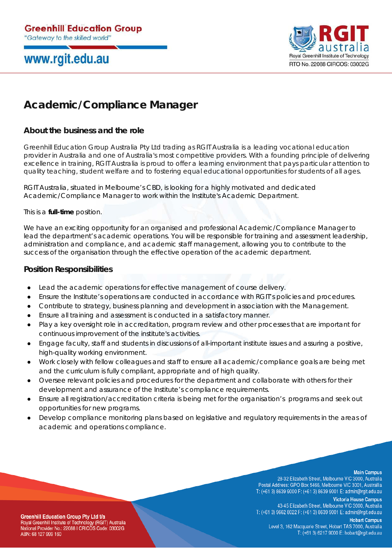# www.rgit.edu.au



## **Academic/Compliance Manager**

### **About the business and the role**

Greenhill Education Group Australia Pty Ltd trading as RGIT Australia is a leading vocational education provider in Australia and one of Australia's most competitive providers. With a founding principle of delivering excellence in training, RGIT Australia is proud to offer a learning environment that pays particular attention to quality teaching, student welfare and to fostering equal educational opportunities for students of all ages.

RGIT Australia, situated in Melbourne's CBD, is looking for a highly motivated and dedicated Academic/Compliance Manager to work within the Institute's Academic Department.

This is a **full-time** position.

We have an exciting opportunity for an organised and professional Academic/Compliance Manager to lead the department's academic operations. You will be responsible for training and assessment leadership, administration and compliance, and academic staff management, allowing you to contribute to the success of the organisation through the effective operation of the academic department.

### **Position Responsibilities**

- Lead the academic operations for effective management of course delivery.
- Ensure the Institute's operations are conducted in accordance with RGIT's policies and procedures.
- Contribute to strategy, business planning and development in association with the Management.
- Ensure all training and assessment is conducted in a satisfactory manner.
- Play a key oversight role in accreditation, program review and other processes that are important for continuous improvement of the institute's activities.
- Engage faculty, staff and students in discussions of all-important institute issues and assuring a positive, high-quality working environment.
- Work closely with fellow colleagues and staff to ensure all academic/compliance goals are being met and the curriculum is fully compliant, appropriate and of high quality.
- Oversee relevant policies and procedures for the department and collaborate with others for their development and assurance of the Institute's compliance requirements.
- Ensure all registration/accreditation criteria is being met for the organisation's programs and seek out opportunities for new programs.
- Develop compliance monitoring plans based on legislative and regulatory requirements in the areas of academic and operations compliance.

#### **Main Campus**

28-32 Elizabeth Street, Melbourne VIC 3000, Australia Postal Address: GPO Box 5466, Melbourne VIC 3001, Australlia T: (+61 3) 8639 9000 F: (+61 3) 8639 9001 E: admin@rgit.edu.au

**Victoria House Campus** 43-45 Elizabeth Street, Melbourne VIC 3000, Australia T: (+61 3) 9662 8022 F: (+61 3) 8639 9001 E: admin@rgit.edu.au

**Greenhill Education Group Pty Ltd t/a** Royal Greenhill Institute of Technology (RGIT) Australia National Provider No.: 22088 I CRICOS Code: 03002G ABN: 68 127 999 160

**Hobart Campus** Level 3, 162 Macquarie Street, Hobart TAS 7000, Australia T: (+61 3) 6217 9000 E: hobart@rgit.edu.au